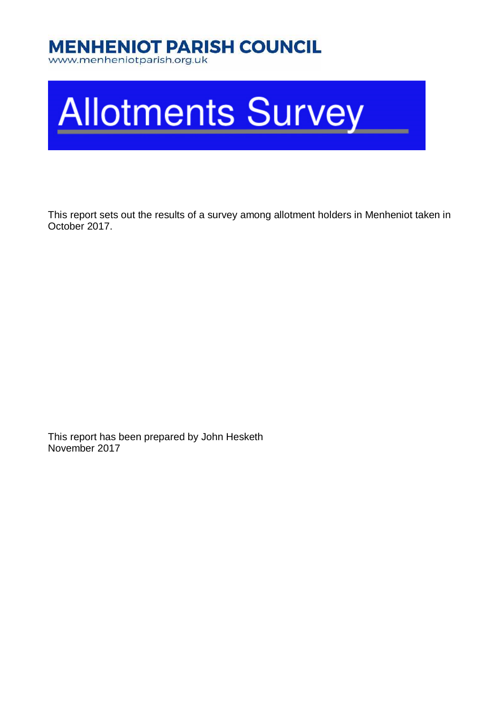## **MENHENIOT PARISH COUNCIL**

www.menheniotparish.org.uk

# **Allotments Survey**

This report sets out the results of a survey among allotment holders in Menheniot taken in October 2017.

This report has been prepared by John Hesketh November 2017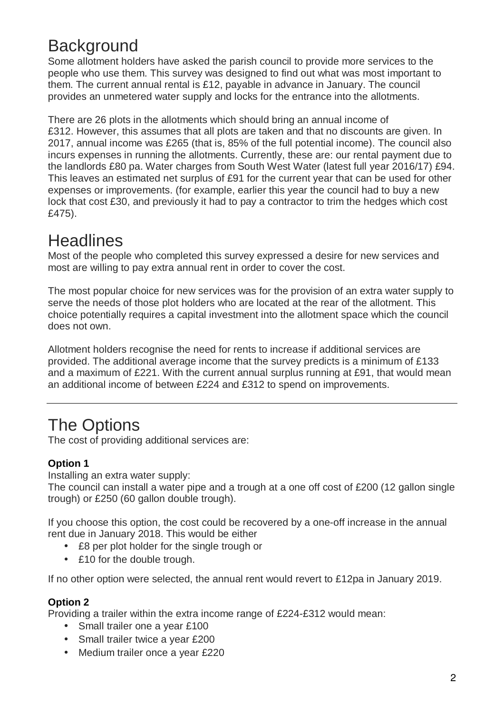## **Background**

Some allotment holders have asked the parish council to provide more services to the people who use them. This survey was designed to find out what was most important to them. The current annual rental is £12, payable in advance in January. The council provides an unmetered water supply and locks for the entrance into the allotments.

There are 26 plots in the allotments which should bring an annual income of £312. However, this assumes that all plots are taken and that no discounts are given. In 2017, annual income was £265 (that is, 85% of the full potential income). The council also incurs expenses in running the allotments. Currently, these are: our rental payment due to the landlords £80 pa. Water charges from South West Water (latest full year 2016/17) £94. This leaves an estimated net surplus of £91 for the current year that can be used for other expenses or improvements. (for example, earlier this year the council had to buy a new lock that cost £30, and previously it had to pay a contractor to trim the hedges which cost £475).

## **Headlines**

Most of the people who completed this survey expressed a desire for new services and most are willing to pay extra annual rent in order to cover the cost.

The most popular choice for new services was for the provision of an extra water supply to serve the needs of those plot holders who are located at the rear of the allotment. This choice potentially requires a capital investment into the allotment space which the council does not own.

Allotment holders recognise the need for rents to increase if additional services are provided. The additional average income that the survey predicts is a minimum of £133 and a maximum of £221. With the current annual surplus running at £91, that would mean an additional income of between £224 and £312 to spend on improvements.

## The Options

The cost of providing additional services are:

#### **Option 1**

Installing an extra water supply:

The council can install a water pipe and a trough at a one off cost of £200 (12 gallon single trough) or £250 (60 gallon double trough).

If you choose this option, the cost could be recovered by a one-off increase in the annual rent due in January 2018. This would be either

- £8 per plot holder for the single trough or
- £10 for the double trough.

If no other option were selected, the annual rent would revert to £12pa in January 2019.

#### **Option 2**

Providing a trailer within the extra income range of £224-£312 would mean:

- Small trailer one a year £100
- Small trailer twice a year £200
- Medium trailer once a year £220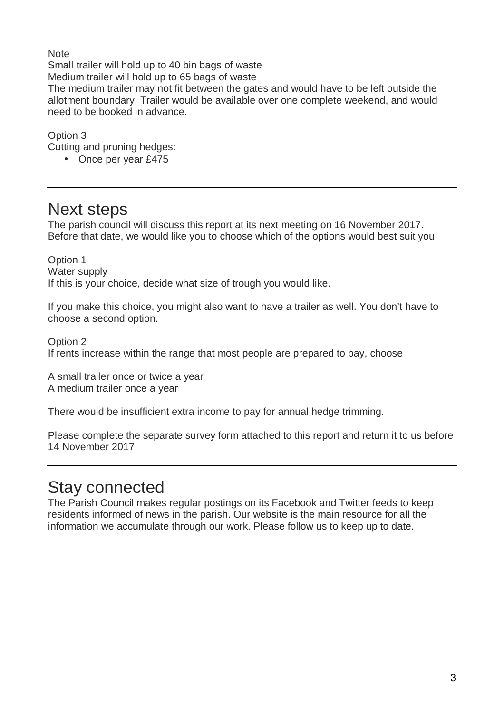**Note** Small trailer will hold up to 40 bin bags of waste Medium trailer will hold up to 65 bags of waste

The medium trailer may not fit between the gates and would have to be left outside the allotment boundary. Trailer would be available over one complete weekend, and would need to be booked in advance.

Option 3

Cutting and pruning hedges:

• Once per year £475

### Next steps

The parish council will discuss this report at its next meeting on 16 November 2017. Before that date, we would like you to choose which of the options would best suit you:

Option 1 Water supply If this is your choice, decide what size of trough you would like.

If you make this choice, you might also want to have a trailer as well. You don't have to choose a second option.

Option 2 If rents increase within the range that most people are prepared to pay, choose

A small trailer once or twice a year A medium trailer once a year

There would be insufficient extra income to pay for annual hedge trimming.

Please complete the separate survey form attached to this report and return it to us before 14 November 2017.

## Stay connected

The Parish Council makes regular postings on its Facebook and Twitter feeds to keep residents informed of news in the parish. Our website is the main resource for all the information we accumulate through our work. Please follow us to keep up to date.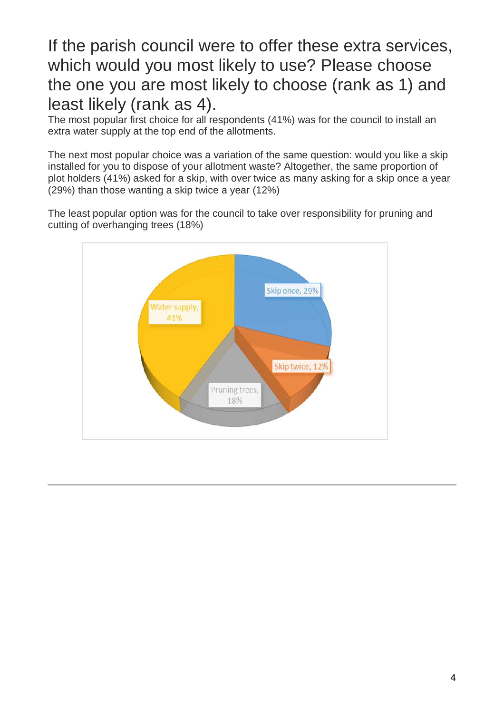## If the parish council were to offer these extra services, which would you most likely to use? Please choose the one you are most likely to choose (rank as 1) and least likely (rank as 4).

The most popular first choice for all respondents (41%) was for the council to install an extra water supply at the top end of the allotments.

The next most popular choice was a variation of the same question: would you like a skip installed for you to dispose of your allotment waste? Altogether, the same proportion of plot holders (41%) asked for a skip, with over twice as many asking for a skip once a year (29%) than those wanting a skip twice a year (12%)

The least popular option was for the council to take over responsibility for pruning and cutting of overhanging trees (18%)

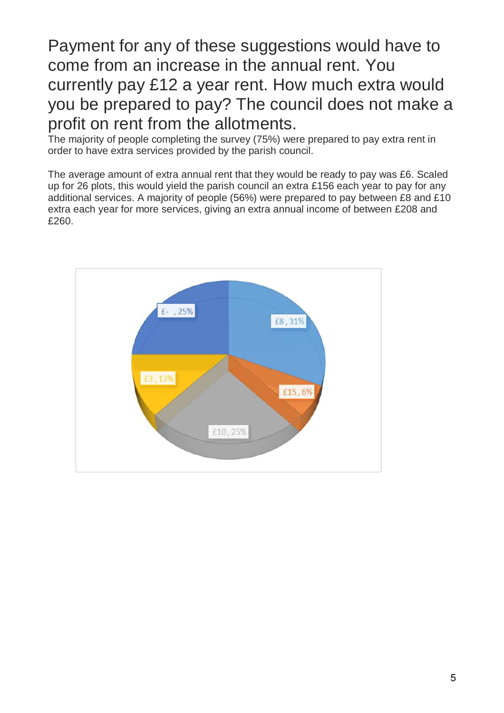Payment for any of these suggestions would have to come from an increase in the annual rent. You currently pay £12 a year rent. How much extra would you be prepared to pay? The council does not make a profit on rent from the allotments.

The majority of people completing the survey (75%) were prepared to pay extra rent in order to have extra services provided by the parish council.

The average amount of extra annual rent that they would be ready to pay was £6. Scaled up for 26 plots, this would yield the parish council an extra £156 each year to pay for any additional services. A majority of people (56%) were prepared to pay between £8 and £10 extra each year for more services, giving an extra annual income of between £208 and £260.

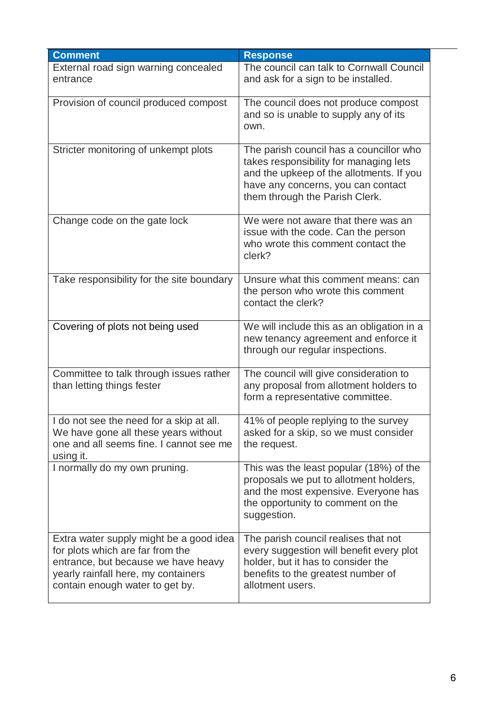| <b>Comment</b>                                                                                                                                                                               | <b>Response</b>                                                                                                                                                                                       |
|----------------------------------------------------------------------------------------------------------------------------------------------------------------------------------------------|-------------------------------------------------------------------------------------------------------------------------------------------------------------------------------------------------------|
| External road sign warning concealed                                                                                                                                                         | The council can talk to Cornwall Council                                                                                                                                                              |
| entrance                                                                                                                                                                                     | and ask for a sign to be installed.                                                                                                                                                                   |
| Provision of council produced compost                                                                                                                                                        | The council does not produce compost<br>and so is unable to supply any of its<br>own.                                                                                                                 |
| Stricter monitoring of unkempt plots                                                                                                                                                         | The parish council has a councillor who<br>takes responsibility for managing lets<br>and the upkeep of the allotments. If you<br>have any concerns, you can contact<br>them through the Parish Clerk. |
| Change code on the gate lock                                                                                                                                                                 | We were not aware that there was an<br>issue with the code. Can the person<br>who wrote this comment contact the<br>clerk?                                                                            |
| Take responsibility for the site boundary                                                                                                                                                    | Unsure what this comment means: can<br>the person who wrote this comment<br>contact the clerk?                                                                                                        |
| Covering of plots not being used                                                                                                                                                             | We will include this as an obligation in a<br>new tenancy agreement and enforce it<br>through our regular inspections.                                                                                |
| Committee to talk through issues rather<br>than letting things fester                                                                                                                        | The council will give consideration to<br>any proposal from allotment holders to<br>form a representative committee.                                                                                  |
| I do not see the need for a skip at all.<br>We have gone all these years without<br>one and all seems fine. I cannot see me<br>using it.                                                     | 41% of people replying to the survey<br>asked for a skip, so we must consider<br>the request.                                                                                                         |
| I normally do my own pruning.                                                                                                                                                                | This was the least popular (18%) of the<br>proposals we put to allotment holders,<br>and the most expensive. Everyone has<br>the opportunity to comment on the<br>suggestion.                         |
| Extra water supply might be a good idea<br>for plots which are far from the<br>entrance, but because we have heavy<br>yearly rainfall here, my containers<br>contain enough water to get by. | The parish council realises that not<br>every suggestion will benefit every plot<br>holder, but it has to consider the<br>benefits to the greatest number of<br>allotment users.                      |